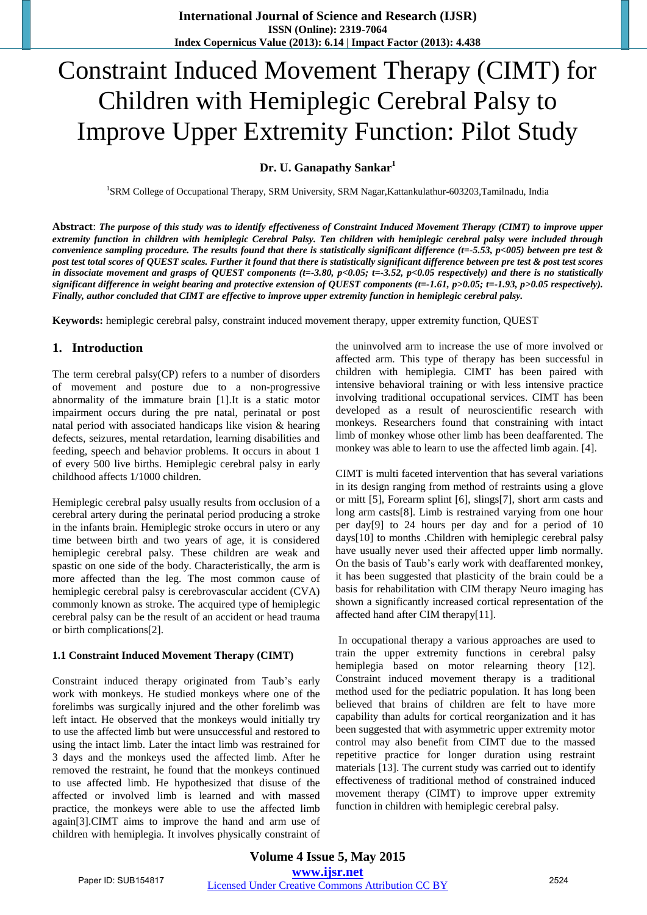# Constraint Induced Movement Therapy (CIMT) for Children with Hemiplegic Cerebral Palsy to Improve Upper Extremity Function: Pilot Study

# **Dr. U. Ganapathy Sankar<sup>1</sup>**

<sup>1</sup>SRM College of Occupational Therapy, SRM University, SRM Nagar, Kattankulathur-603203, Tamilnadu, India

**Abstract**: *The purpose of this study was to identify effectiveness of Constraint Induced Movement Therapy (CIMT) to improve upper extremity function in children with hemiplegic Cerebral Palsy. Ten children with hemiplegic cerebral palsy were included through convenience sampling procedure. The results found that there is statistically significant difference (t=-5.53, p<005) between pre test & post test total scores of QUEST scales. Further it found that there is statistically significant difference between pre test & post test scores*  in dissociate movement and grasps of QUEST components (t=-3.80, p<0.05; t=-3.52, p<0.05 respectively) and there is no statistically *significant difference in weight bearing and protective extension of QUEST components (t=-1.61, p>0.05; t=-1.93, p>0.05 respectively). Finally, author concluded that CIMT are effective to improve upper extremity function in hemiplegic cerebral palsy.* 

**Keywords:** hemiplegic cerebral palsy, constraint induced movement therapy, upper extremity function, QUEST

#### **1. Introduction**

The term cerebral palsy(CP) refers to a number of disorders of movement and posture due to a non-progressive abnormality of the immature brain [1].It is a static motor impairment occurs during the pre natal, perinatal or post natal period with associated handicaps like vision & hearing defects, seizures, mental retardation, learning disabilities and feeding, speech and behavior problems. It occurs in about 1 of every 500 live births. Hemiplegic cerebral palsy in early childhood affects 1/1000 children.

Hemiplegic cerebral palsy usually results from occlusion of a cerebral artery during the perinatal period producing a stroke in the infants brain. Hemiplegic stroke occurs in utero or any time between birth and two years of age, it is considered hemiplegic cerebral palsy. These children are weak and spastic on one side of the body. Characteristically, the arm is more affected than the leg. The most common cause of hemiplegic cerebral palsy is cerebrovascular accident (CVA) commonly known as stroke. The acquired type of hemiplegic cerebral palsy can be the result of an accident or head trauma or birth complications[2].

#### **1.1 Constraint Induced Movement Therapy (CIMT)**

Constraint induced therapy originated from Taub"s early work with monkeys. He studied monkeys where one of the forelimbs was surgically injured and the other forelimb was left intact. He observed that the monkeys would initially try to use the affected limb but were unsuccessful and restored to using the intact limb. Later the intact limb was restrained for 3 days and the monkeys used the affected limb. After he removed the restraint, he found that the monkeys continued to use affected limb. He hypothesized that disuse of the affected or involved limb is learned and with massed practice, the monkeys were able to use the affected limb again[3].CIMT aims to improve the hand and arm use of children with hemiplegia. It involves physically constraint of

the uninvolved arm to increase the use of more involved or affected arm. This type of therapy has been successful in children with hemiplegia. CIMT has been paired with intensive behavioral training or with less intensive practice involving traditional occupational services. CIMT has been developed as a result of neuroscientific research with monkeys. Researchers found that constraining with intact limb of monkey whose other limb has been deaffarented. The monkey was able to learn to use the affected limb again. [4].

CIMT is multi faceted intervention that has several variations in its design ranging from method of restraints using a glove or mitt [5], Forearm splint [6], slings[7], short arm casts and long arm casts[8]. Limb is restrained varying from one hour per day[9] to 24 hours per day and for a period of 10 days[10] to months .Children with hemiplegic cerebral palsy have usually never used their affected upper limb normally. On the basis of Taub"s early work with deaffarented monkey, it has been suggested that plasticity of the brain could be a basis for rehabilitation with CIM therapy Neuro imaging has shown a significantly increased cortical representation of the affected hand after CIM therapy[11].

In occupational therapy a various approaches are used to train the upper extremity functions in cerebral palsy hemiplegia based on motor relearning theory [12]. Constraint induced movement therapy is a traditional method used for the pediatric population. It has long been believed that brains of children are felt to have more capability than adults for cortical reorganization and it has been suggested that with asymmetric upper extremity motor control may also benefit from CIMT due to the massed repetitive practice for longer duration using restraint materials [13]. The current study was carried out to identify effectiveness of traditional method of constrained induced movement therapy (CIMT) to improve upper extremity function in children with hemiplegic cerebral palsy.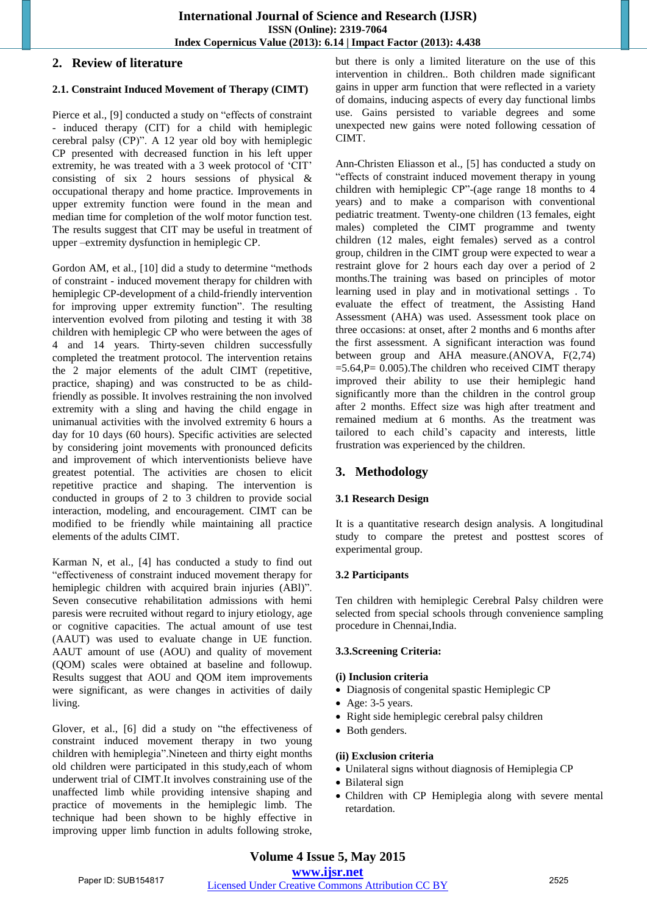# **2. Review of literature**

### **2.1. Constraint Induced Movement of Therapy (CIMT)**

Pierce et al., [9] conducted a study on "effects of constraint - induced therapy (CIT) for a child with hemiplegic cerebral palsy (CP)". A 12 year old boy with hemiplegic CP presented with decreased function in his left upper extremity, he was treated with a 3 week protocol of "CIT" consisting of six 2 hours sessions of physical & occupational therapy and home practice. Improvements in upper extremity function were found in the mean and median time for completion of the wolf motor function test. The results suggest that CIT may be useful in treatment of upper –extremity dysfunction in hemiplegic CP.

Gordon AM, et al., [10] did a study to determine "methods of constraint - induced movement therapy for children with hemiplegic CP-development of a child-friendly intervention for improving upper extremity function". The resulting intervention evolved from piloting and testing it with 38 children with hemiplegic CP who were between the ages of 4 and 14 years. Thirty-seven children successfully completed the treatment protocol. The intervention retains the 2 major elements of the adult CIMT (repetitive, practice, shaping) and was constructed to be as childfriendly as possible. It involves restraining the non involved extremity with a sling and having the child engage in unimanual activities with the involved extremity 6 hours a day for 10 days (60 hours). Specific activities are selected by considering joint movements with pronounced deficits and improvement of which interventionists believe have greatest potential. The activities are chosen to elicit repetitive practice and shaping. The intervention is conducted in groups of 2 to 3 children to provide social interaction, modeling, and encouragement. CIMT can be modified to be friendly while maintaining all practice elements of the adults CIMT.

Karman N, et al., [4] has conducted a study to find out "effectiveness of constraint induced movement therapy for hemiplegic children with acquired brain injuries (ABl)". Seven consecutive rehabilitation admissions with hemi paresis were recruited without regard to injury etiology, age or cognitive capacities. The actual amount of use test (AAUT) was used to evaluate change in UE function. AAUT amount of use (AOU) and quality of movement (QOM) scales were obtained at baseline and followup. Results suggest that AOU and QOM item improvements were significant, as were changes in activities of daily living.

Glover, et al., [6] did a study on "the effectiveness of constraint induced movement therapy in two young children with hemiplegia".Nineteen and thirty eight months old children were participated in this study,each of whom underwent trial of CIMT.It involves constraining use of the unaffected limb while providing intensive shaping and practice of movements in the hemiplegic limb. The technique had been shown to be highly effective in improving upper limb function in adults following stroke,

but there is only a limited literature on the use of this intervention in children.. Both children made significant gains in upper arm function that were reflected in a variety of domains, inducing aspects of every day functional limbs use. Gains persisted to variable degrees and some unexpected new gains were noted following cessation of CIMT.

Ann-Christen Eliasson et al., [5] has conducted a study on "effects of constraint induced movement therapy in young children with hemiplegic CP"-(age range 18 months to 4 years) and to make a comparison with conventional pediatric treatment. Twenty-one children (13 females, eight males) completed the CIMT programme and twenty children (12 males, eight females) served as a control group, children in the CIMT group were expected to wear a restraint glove for 2 hours each day over a period of 2 months.The training was based on principles of motor learning used in play and in motivational settings . To evaluate the effect of treatment, the Assisting Hand Assessment (AHA) was used. Assessment took place on three occasions: at onset, after 2 months and 6 months after the first assessment. A significant interaction was found between group and AHA measure.(ANOVA, F(2,74)  $=$  5.64, P $=$  0.005). The children who received CIMT therapy improved their ability to use their hemiplegic hand significantly more than the children in the control group after 2 months. Effect size was high after treatment and remained medium at 6 months. As the treatment was tailored to each child"s capacity and interests, little frustration was experienced by the children.

# **3. Methodology**

## **3.1 Research Design**

It is a quantitative research design analysis. A longitudinal study to compare the pretest and posttest scores of experimental group.

## **3.2 Participants**

Ten children with hemiplegic Cerebral Palsy children were selected from special schools through convenience sampling procedure in Chennai,India.

#### **3.3.Screening Criteria:**

#### **(i) Inclusion criteria**

- Diagnosis of congenital spastic Hemiplegic CP
- Age: 3-5 years.
- Right side hemiplegic cerebral palsy children
- Both genders.

#### **(ii) Exclusion criteria**

- Unilateral signs without diagnosis of Hemiplegia CP
- Bilateral sign
- Children with CP Hemiplegia along with severe mental retardation.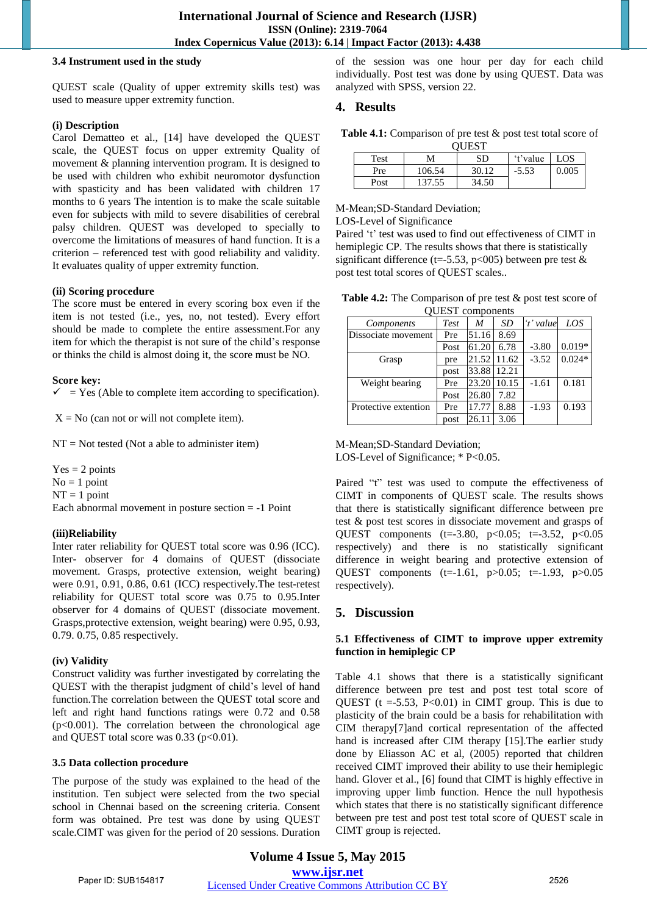#### **3.4 Instrument used in the study**

QUEST scale (Quality of upper extremity skills test) was used to measure upper extremity function.

#### **(i) Description**

Carol Dematteo et al., [14] have developed the QUEST scale, the QUEST focus on upper extremity Quality of movement & planning intervention program. It is designed to be used with children who exhibit neuromotor dysfunction with spasticity and has been validated with children 17 months to 6 years The intention is to make the scale suitable even for subjects with mild to severe disabilities of cerebral palsy children. QUEST was developed to specially to overcome the limitations of measures of hand function. It is a criterion – referenced test with good reliability and validity. It evaluates quality of upper extremity function.

#### **(ii) Scoring procedure**

The score must be entered in every scoring box even if the item is not tested (i.e., yes, no, not tested). Every effort should be made to complete the entire assessment.For any item for which the therapist is not sure of the child"s response or thinks the child is almost doing it, the score must be NO.

#### **Score key:**

 $=$  Yes (Able to complete item according to specification).

 $X = No$  (can not or will not complete item).

 $NT = Not tested (Not a able to administer item)$ 

 $Yes = 2 points$  $No = 1$  point  $NT = 1$  point Each abnormal movement in posture section = -1 Point

## **(iii)Reliability**

Inter rater reliability for QUEST total score was 0.96 (ICC). Inter- observer for 4 domains of QUEST (dissociate movement. Grasps, protective extension, weight bearing) were 0.91, 0.91, 0.86, 0.61 (ICC) respectively.The test-retest reliability for QUEST total score was 0.75 to 0.95.Inter observer for 4 domains of QUEST (dissociate movement. Grasps,protective extension, weight bearing) were 0.95, 0.93, 0.79. 0.75, 0.85 respectively.

#### **(iv) Validity**

Construct validity was further investigated by correlating the QUEST with the therapist judgment of child"s level of hand function.The correlation between the QUEST total score and left and right hand functions ratings were 0.72 and 0.58  $(p<0.001)$ . The correlation between the chronological age and QUEST total score was  $0.33$  ( $p<0.01$ ).

## **3.5 Data collection procedure**

The purpose of the study was explained to the head of the institution. Ten subject were selected from the two special school in Chennai based on the screening criteria. Consent form was obtained. Pre test was done by using QUEST scale.CIMT was given for the period of 20 sessions. Duration

of the session was one hour per day for each child individually. Post test was done by using QUEST. Data was analyzed with SPSS, version 22.

## **4. Results**

Table 4.1: Comparison of pre test  $\&$  post test total score of  $\Omega$ IECT

| <b>VULDI</b> |        |       |          |       |  |  |  |  |  |
|--------------|--------|-------|----------|-------|--|--|--|--|--|
| Test         |        | SD    | 't'value | LOS   |  |  |  |  |  |
| Pre          | 106.54 | 30.12 | $-5.53$  | 0.005 |  |  |  |  |  |
| Post         | 137.55 | 34.50 |          |       |  |  |  |  |  |

M-Mean;SD-Standard Deviation;

LOS-Level of Significance

Paired 't' test was used to find out effectiveness of CIMT in hemiplegic CP. The results shows that there is statistically significant difference (t=-5.53, p<005) between pre test  $\&$ post test total scores of QUEST scales..

| <b>Table 4.2:</b> The Comparison of pre test $\&$ post test score of |
|----------------------------------------------------------------------|
| <b>QUEST</b> components                                              |

| OUL'S L'UNINONEMIS   |      |       |       |           |          |  |  |  |
|----------------------|------|-------|-------|-----------|----------|--|--|--|
| <i>Components</i>    | Test | M     | SD    | 't' value | LOS      |  |  |  |
| Dissociate movement  | Pre  | 51.16 | 8.69  |           |          |  |  |  |
|                      | Post | 61.20 | 6.78  | $-3.80$   | $0.019*$ |  |  |  |
| Grasp                | pre  | 21.52 | 11.62 | $-3.52$   | $0.024*$ |  |  |  |
|                      | post | 33.88 | 12.21 |           |          |  |  |  |
| Weight bearing       | Pre  | 23.20 | 10.15 | $-1.61$   | 0.181    |  |  |  |
|                      | Post | 26.80 | 7.82  |           |          |  |  |  |
| Protective extention | Pre  | 17.77 | 8.88  | $-1.93$   | 0.193    |  |  |  |
|                      | post | 26.11 | 3.06  |           |          |  |  |  |

M-Mean;SD-Standard Deviation; LOS-Level of Significance; \* P<0.05.

Paired "t" test was used to compute the effectiveness of CIMT in components of QUEST scale. The results shows that there is statistically significant difference between pre test & post test scores in dissociate movement and grasps of QUEST components (t=-3.80, p<0.05; t=-3.52, p<0.05 respectively) and there is no statistically significant difference in weight bearing and protective extension of QUEST components (t=-1.61, p>0.05; t=-1.93, p>0.05 respectively).

# **5. Discussion**

#### **5.1 Effectiveness of CIMT to improve upper extremity function in hemiplegic CP**

Table 4.1 shows that there is a statistically significant difference between pre test and post test total score of QUEST ( $t = -5.53$ ,  $P < 0.01$ ) in CIMT group. This is due to plasticity of the brain could be a basis for rehabilitation with CIM therapy[7]and cortical representation of the affected hand is increased after CIM therapy [15].The earlier study done by Eliasson AC et al, (2005) reported that children received CIMT improved their ability to use their hemiplegic hand. Glover et al., [6] found that CIMT is highly effective in improving upper limb function. Hence the null hypothesis which states that there is no statistically significant difference between pre test and post test total score of QUEST scale in CIMT group is rejected.